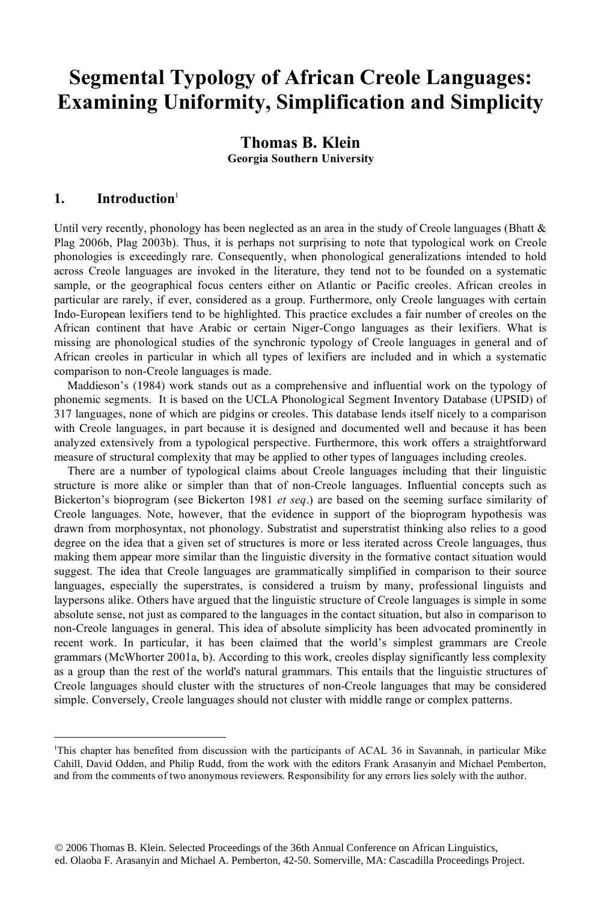# **Segmental Typology of African Creole Languages: Examining Uniformity, Simplification and Simplicity**

# **Thomas B. Klein Georgia Southern University**

## **1. Introduction**<sup>1</sup>

<u>.</u>

Until very recently, phonology has been neglected as an area in the study of Creole languages (Bhatt  $\&$ Plag 2006b, Plag 2003b). Thus, it is perhaps not surprising to note that typological work on Creole phonologies is exceedingly rare. Consequently, when phonological generalizations intended to hold across Creole languages are invoked in the literature, they tend not to be founded on a systematic sample, or the geographical focus centers either on Atlantic or Pacific creoles. African creoles in particular are rarely, if ever, considered as a group. Furthermore, only Creole languages with certain Indo-European lexifiers tend to be highlighted. This practice excludes a fair number of creoles on the African continent that have Arabic or certain Niger-Congo languages as their lexifiers. What is missing are phonological studies of the synchronic typology of Creole languages in general and of African creoles in particular in which all types of lexifiers are included and in which a systematic comparison to non-Creole languages is made.

Maddieson's (1984) work stands out as a comprehensive and influential work on the typology of phonemic segments. It is based on the UCLA Phonological Segment Inventory Database (UPSID) of 317 languages, none of which are pidgins or creoles. This database lends itself nicely to a comparison with Creole languages, in part because it is designed and documented well and because it has been analyzed extensively from a typological perspective. Furthermore, this work offers a straightforward measure of structural complexity that may be applied to other types of languages including creoles.

There are a number of typological claims about Creole languages including that their linguistic structure is more alike or simpler than that of non-Creole languages. Influential concepts such as Bickerton's bioprogram (see Bickerton 1981 *et seq*.) are based on the seeming surface similarity of Creole languages. Note, however, that the evidence in support of the bioprogram hypothesis was drawn from morphosyntax, not phonology. Substratist and superstratist thinking also relies to a good degree on the idea that a given set of structures is more or less iterated across Creole languages, thus making them appear more similar than the linguistic diversity in the formative contact situation would suggest. The idea that Creole languages are grammatically simplified in comparison to their source languages, especially the superstrates, is considered a truism by many, professional linguists and laypersons alike. Others have argued that the linguistic structure of Creole languages is simple in some absolute sense, not just as compared to the languages in the contact situation, but also in comparison to non-Creole languages in general. This idea of absolute simplicity has been advocated prominently in recent work. In particular, it has been claimed that the world's simplest grammars are Creole grammars (McWhorter 2001a, b). According to this work, creoles display significantly less complexity as a group than the rest of the world's natural grammars. This entails that the linguistic structures of Creole languages should cluster with the structures of non-Creole languages that may be considered simple. Conversely, Creole languages should not cluster with middle range or complex patterns.

<sup>1</sup> This chapter has benefited from discussion with the participants of ACAL 36 in Savannah, in particular Mike Cahill, David Odden, and Philip Rudd, from the work with the editors Frank Arasanyin and Michael Pemberton, and from the comments of two anonymous reviewers. Responsibility for any errors lies solely with the author.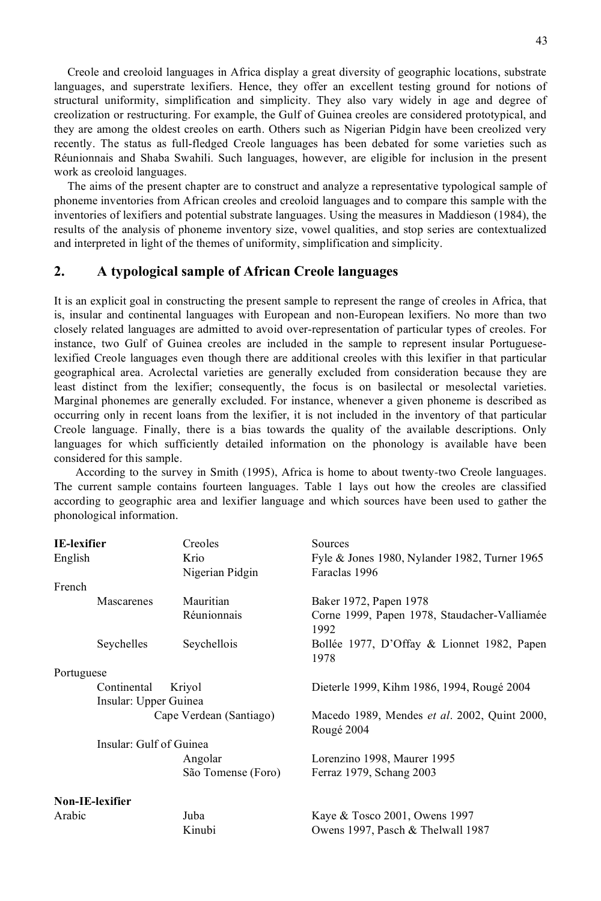Creole and creoloid languages in Africa display a great diversity of geographic locations, substrate languages, and superstrate lexifiers. Hence, they offer an excellent testing ground for notions of structural uniformity, simplification and simplicity. They also vary widely in age and degree of creolization or restructuring. For example, the Gulf of Guinea creoles are considered prototypical, and they are among the oldest creoles on earth. Others such as Nigerian Pidgin have been creolized very recently. The status as full-fledged Creole languages has been debated for some varieties such as Réunionnais and Shaba Swahili. Such languages, however, are eligible for inclusion in the present work as creoloid languages.

The aims of the present chapter are to construct and analyze a representative typological sample of phoneme inventories from African creoles and creoloid languages and to compare this sample with the inventories of lexifiers and potential substrate languages. Using the measures in Maddieson (1984), the results of the analysis of phoneme inventory size, vowel qualities, and stop series are contextualized and interpreted in light of the themes of uniformity, simplification and simplicity.

#### **2. A typological sample of African Creole languages**

It is an explicit goal in constructing the present sample to represent the range of creoles in Africa, that is, insular and continental languages with European and non-European lexifiers. No more than two closely related languages are admitted to avoid over-representation of particular types of creoles. For instance, two Gulf of Guinea creoles are included in the sample to represent insular Portugueselexified Creole languages even though there are additional creoles with this lexifier in that particular geographical area. Acrolectal varieties are generally excluded from consideration because they are least distinct from the lexifier; consequently, the focus is on basilectal or mesolectal varieties. Marginal phonemes are generally excluded. For instance, whenever a given phoneme is described as occurring only in recent loans from the lexifier, it is not included in the inventory of that particular Creole language. Finally, there is a bias towards the quality of the available descriptions. Only languages for which sufficiently detailed information on the phonology is available have been considered for this sample.

According to the survey in Smith (1995), Africa is home to about twenty-two Creole languages. The current sample contains fourteen languages. Table 1 lays out how the creoles are classified according to geographic area and lexifier language and which sources have been used to gather the phonological information.

| <b>IE-lexifier</b> |                         | Creoles                 | Sources                                                    |  |  |  |  |
|--------------------|-------------------------|-------------------------|------------------------------------------------------------|--|--|--|--|
| English            |                         | Krio                    | Fyle & Jones 1980, Nylander 1982, Turner 1965              |  |  |  |  |
|                    |                         | Nigerian Pidgin         | Faraclas 1996                                              |  |  |  |  |
| French             |                         |                         |                                                            |  |  |  |  |
|                    | Mascarenes              | Mauritian               | Baker 1972, Papen 1978                                     |  |  |  |  |
|                    |                         | Réunionnais             | Corne 1999, Papen 1978, Staudacher-Valliamée<br>1992       |  |  |  |  |
|                    | Seychelles              | Seychellois             | Bollée 1977, D'Offay & Lionnet 1982, Papen<br>1978         |  |  |  |  |
| Portuguese         |                         |                         |                                                            |  |  |  |  |
|                    | Continental             | Kriyol                  | Dieterle 1999, Kihm 1986, 1994, Rougé 2004                 |  |  |  |  |
|                    | Insular: Upper Guinea   |                         |                                                            |  |  |  |  |
|                    |                         | Cape Verdean (Santiago) | Macedo 1989, Mendes et al. 2002, Quint 2000,<br>Rougé 2004 |  |  |  |  |
|                    | Insular: Gulf of Guinea |                         |                                                            |  |  |  |  |
|                    |                         | Angolar                 | Lorenzino 1998, Maurer 1995                                |  |  |  |  |
|                    |                         | São Tomense (Foro)      | Ferraz 1979, Schang 2003                                   |  |  |  |  |
|                    | <b>Non-IE-lexifier</b>  |                         |                                                            |  |  |  |  |
| Arabic             |                         | Juba                    | Kaye & Tosco 2001, Owens 1997                              |  |  |  |  |
|                    |                         | Kinubi                  | Owens 1997, Pasch $&$ Thelwall 1987                        |  |  |  |  |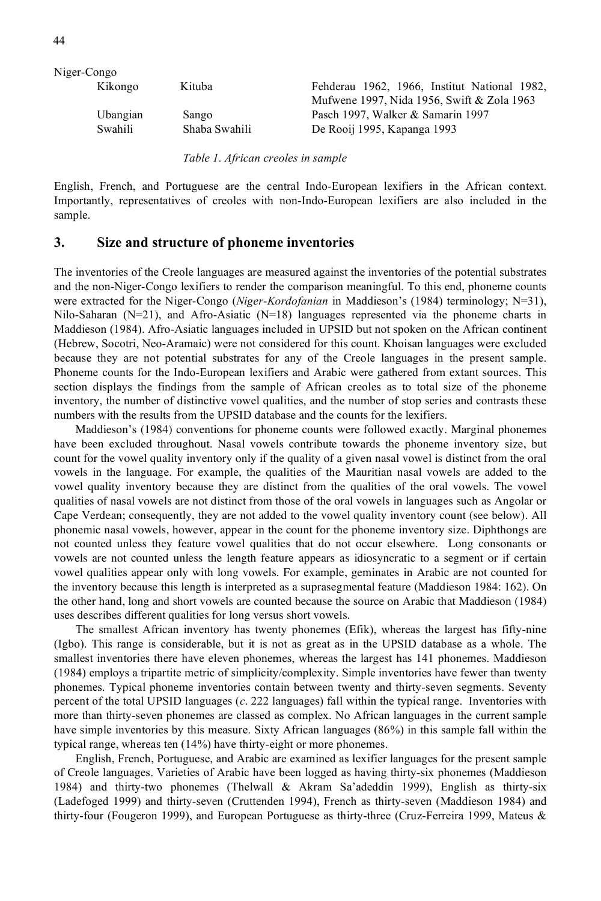| Niger-Congo |               |                                              |
|-------------|---------------|----------------------------------------------|
| Kikongo     | Kituba        | Fehderau 1962, 1966, Institut National 1982, |
|             |               | Mufwene 1997, Nida 1956, Swift & Zola 1963   |
| Ubangian    | Sango         | Pasch 1997, Walker & Samarin 1997            |
| Swahili     | Shaba Swahili | De Rooij 1995, Kapanga 1993                  |
|             |               |                                              |

*Table 1. African creoles in sample*

English, French, and Portuguese are the central Indo-European lexifiers in the African context. Importantly, representatives of creoles with non-Indo-European lexifiers are also included in the sample.

#### **3. Size and structure of phoneme inventories**

The inventories of the Creole languages are measured against the inventories of the potential substrates and the non-Niger-Congo lexifiers to render the comparison meaningful. To this end, phoneme counts were extracted for the Niger-Congo (*Niger-Kordofanian* in Maddieson's (1984) terminology; N=31), Nilo-Saharan (N=21), and Afro-Asiatic (N=18) languages represented via the phoneme charts in Maddieson (1984). Afro-Asiatic languages included in UPSID but not spoken on the African continent (Hebrew, Socotri, Neo-Aramaic) were not considered for this count. Khoisan languages were excluded because they are not potential substrates for any of the Creole languages in the present sample. Phoneme counts for the Indo-European lexifiers and Arabic were gathered from extant sources. This section displays the findings from the sample of African creoles as to total size of the phoneme inventory, the number of distinctive vowel qualities, and the number of stop series and contrasts these numbers with the results from the UPSID database and the counts for the lexifiers.

Maddieson's (1984) conventions for phoneme counts were followed exactly. Marginal phonemes have been excluded throughout. Nasal vowels contribute towards the phoneme inventory size, but count for the vowel quality inventory only if the quality of a given nasal vowel is distinct from the oral vowels in the language. For example, the qualities of the Mauritian nasal vowels are added to the vowel quality inventory because they are distinct from the qualities of the oral vowels. The vowel qualities of nasal vowels are not distinct from those of the oral vowels in languages such as Angolar or Cape Verdean; consequently, they are not added to the vowel quality inventory count (see below). All phonemic nasal vowels, however, appear in the count for the phoneme inventory size. Diphthongs are not counted unless they feature vowel qualities that do not occur elsewhere. Long consonants or vowels are not counted unless the length feature appears as idiosyncratic to a segment or if certain vowel qualities appear only with long vowels. For example, geminates in Arabic are not counted for the inventory because this length is interpreted as a suprasegmental feature (Maddieson 1984: 162). On the other hand, long and short vowels are counted because the source on Arabic that Maddieson (1984) uses describes different qualities for long versus short vowels.

The smallest African inventory has twenty phonemes (Efik), whereas the largest has fifty-nine (Igbo). This range is considerable, but it is not as great as in the UPSID database as a whole. The smallest inventories there have eleven phonemes, whereas the largest has 141 phonemes. Maddieson (1984) employs a tripartite metric of simplicity/complexity. Simple inventories have fewer than twenty phonemes. Typical phoneme inventories contain between twenty and thirty-seven segments. Seventy percent of the total UPSID languages (*c*. 222 languages) fall within the typical range. Inventories with more than thirty-seven phonemes are classed as complex. No African languages in the current sample have simple inventories by this measure. Sixty African languages (86%) in this sample fall within the typical range, whereas ten (14%) have thirty-eight or more phonemes.

English, French, Portuguese, and Arabic are examined as lexifier languages for the present sample of Creole languages. Varieties of Arabic have been logged as having thirty-six phonemes (Maddieson 1984) and thirty-two phonemes (Thelwall & Akram Sa'adeddin 1999), English as thirty-six (Ladefoged 1999) and thirty-seven (Cruttenden 1994), French as thirty-seven (Maddieson 1984) and thirty-four (Fougeron 1999), and European Portuguese as thirty-three (Cruz-Ferreira 1999, Mateus &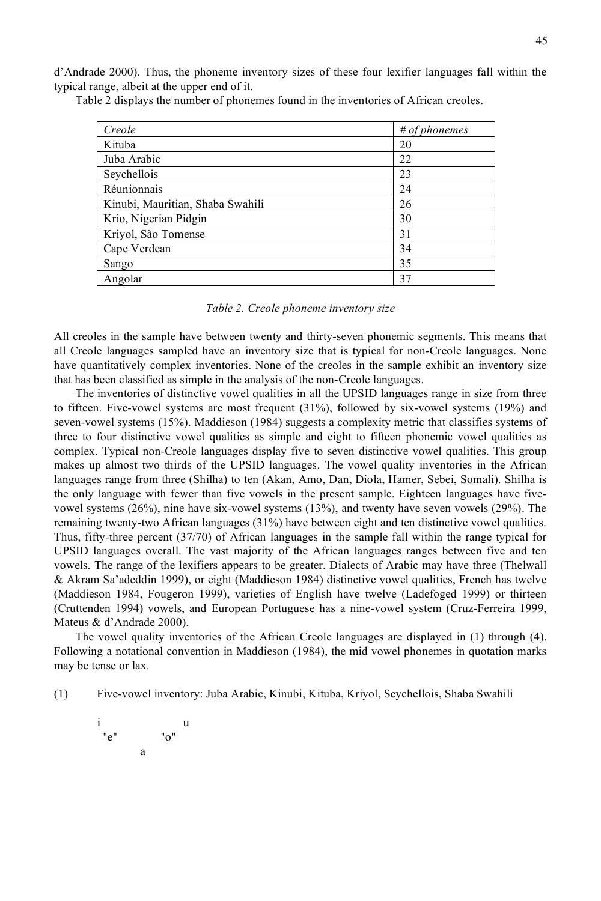d'Andrade 2000). Thus, the phoneme inventory sizes of these four lexifier languages fall within the typical range, albeit at the upper end of it.

| Creole                           | # of phonemes |
|----------------------------------|---------------|
| Kituba                           | 20            |
| Juba Arabic                      | 22            |
| Seychellois                      | 23            |
| Réunionnais                      | 24            |
| Kinubi, Mauritian, Shaba Swahili | 26            |
| Krio, Nigerian Pidgin            | 30            |
| Kriyol, São Tomense              | 31            |
| Cape Verdean                     | 34            |
| Sango                            | 35            |
| Angolar                          | 37            |

Table 2 displays the number of phonemes found in the inventories of African creoles.

*Table 2. Creole phoneme inventory size*

All creoles in the sample have between twenty and thirty-seven phonemic segments. This means that all Creole languages sampled have an inventory size that is typical for non-Creole languages. None have quantitatively complex inventories. None of the creoles in the sample exhibit an inventory size that has been classified as simple in the analysis of the non-Creole languages.

The inventories of distinctive vowel qualities in all the UPSID languages range in size from three to fifteen. Five-vowel systems are most frequent (31%), followed by six-vowel systems (19%) and seven-vowel systems (15%). Maddieson (1984) suggests a complexity metric that classifies systems of three to four distinctive vowel qualities as simple and eight to fifteen phonemic vowel qualities as complex. Typical non-Creole languages display five to seven distinctive vowel qualities. This group makes up almost two thirds of the UPSID languages. The vowel quality inventories in the African languages range from three (Shilha) to ten (Akan, Amo, Dan, Diola, Hamer, Sebei, Somali). Shilha is the only language with fewer than five vowels in the present sample. Eighteen languages have fivevowel systems (26%), nine have six-vowel systems (13%), and twenty have seven vowels (29%). The remaining twenty-two African languages (31%) have between eight and ten distinctive vowel qualities. Thus, fifty-three percent (37/70) of African languages in the sample fall within the range typical for UPSID languages overall. The vast majority of the African languages ranges between five and ten vowels. The range of the lexifiers appears to be greater. Dialects of Arabic may have three (Thelwall & Akram Sa'adeddin 1999), or eight (Maddieson 1984) distinctive vowel qualities, French has twelve (Maddieson 1984, Fougeron 1999), varieties of English have twelve (Ladefoged 1999) or thirteen (Cruttenden 1994) vowels, and European Portuguese has a nine-vowel system (Cruz-Ferreira 1999, Mateus & d'Andrade 2000).

The vowel quality inventories of the African Creole languages are displayed in (1) through (4). Following a notational convention in Maddieson (1984), the mid vowel phonemes in quotation marks may be tense or lax.

(1) Five-vowel inventory: Juba Arabic, Kinubi, Kituba, Kriyol, Seychellois, Shaba Swahili

$$
\begin{array}{cc}\ni & u \\
"e" & \qquad "o"\n\end{array}
$$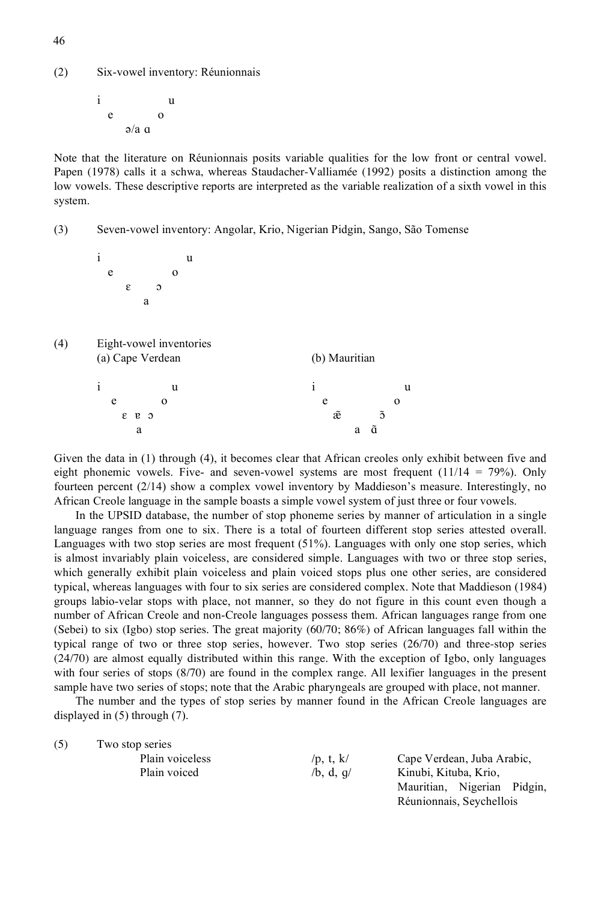(2) Six-vowel inventory: Réunionnais

i u e o  $a/a$  a

Note that the literature on Réunionnais posits variable qualities for the low front or central vowel. Papen (1978) calls it a schwa, whereas Staudacher-Valliamée (1992) posits a distinction among the low vowels. These descriptive reports are interpreted as the variable realization of a sixth vowel in this system.

(3) Seven-vowel inventory: Angolar, Krio, Nigerian Pidgin, Sango, São Tomense

i u e o  $\epsilon$  o a

(4) Eight-vowel inventories (a) Cape Verdean (b) Mauritian i u i u

| $e \t o$                                                  | $e \qquad \qquad$                                         | $\omega$                |  |
|-----------------------------------------------------------|-----------------------------------------------------------|-------------------------|--|
| $c \t s$                                                  |                                                           | $\tilde{x}$ $\tilde{0}$ |  |
|                                                           |                                                           | a ã                     |  |
| 그래도 그 아버지는 그 사람들은 그래도 그 아버지는 사람들을 사용하고 있다. 그 사람들은 어디에 있다. | $\mathbf{a}$ and $\mathbf{a}$ are the set of $\mathbf{a}$ |                         |  |

Given the data in (1) through (4), it becomes clear that African creoles only exhibit between five and eight phonemic vowels. Five- and seven-vowel systems are most frequent  $(11/14 = 79%)$ . Only fourteen percent (2/14) show a complex vowel inventory by Maddieson's measure. Interestingly, no African Creole language in the sample boasts a simple vowel system of just three or four vowels.

In the UPSID database, the number of stop phoneme series by manner of articulation in a single language ranges from one to six. There is a total of fourteen different stop series attested overall. Languages with two stop series are most frequent (51%). Languages with only one stop series, which is almost invariably plain voiceless, are considered simple. Languages with two or three stop series, which generally exhibit plain voiceless and plain voiced stops plus one other series, are considered typical, whereas languages with four to six series are considered complex. Note that Maddieson (1984) groups labio-velar stops with place, not manner, so they do not figure in this count even though a number of African Creole and non-Creole languages possess them. African languages range from one (Sebei) to six (Igbo) stop series. The great majority (60/70; 86%) of African languages fall within the typical range of two or three stop series, however. Two stop series (26/70) and three-stop series (24/70) are almost equally distributed within this range. With the exception of Igbo, only languages with four series of stops (8/70) are found in the complex range. All lexifier languages in the present sample have two series of stops; note that the Arabic pharyngeals are grouped with place, not manner.

The number and the types of stop series by manner found in the African Creole languages are displayed in (5) through (7).

| (5) | Two stop series |             |                             |  |  |  |  |  |  |  |
|-----|-----------------|-------------|-----------------------------|--|--|--|--|--|--|--|
|     | Plain voiceless | /p, t, $k/$ | Cape Verdean, Juba Arabic,  |  |  |  |  |  |  |  |
|     | Plain voiced    | /b, d, q/   | Kinubi, Kituba, Krio,       |  |  |  |  |  |  |  |
|     |                 |             | Mauritian, Nigerian Pidgin, |  |  |  |  |  |  |  |
|     |                 |             | Réunionnais, Seychellois    |  |  |  |  |  |  |  |

46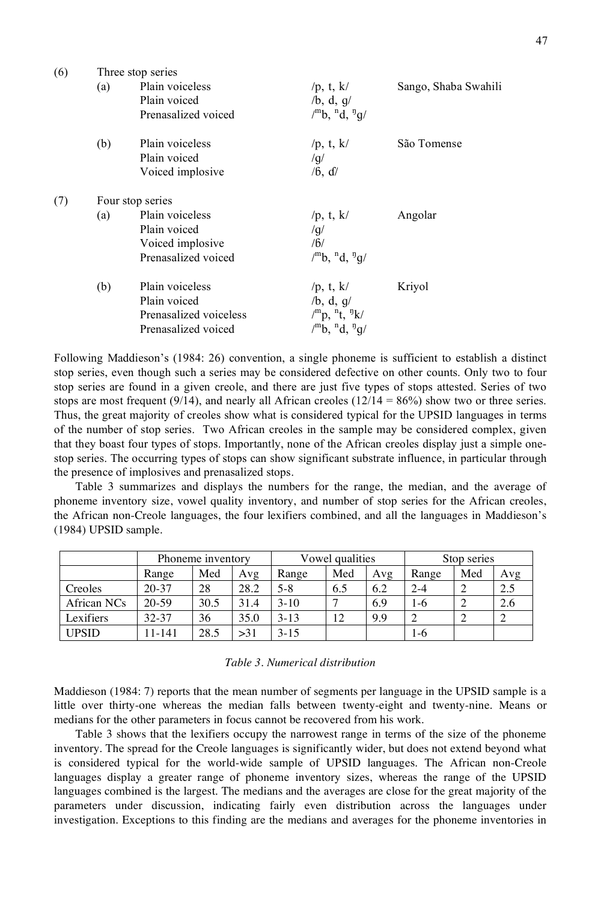| (6) | Three stop series |                        |                                    |                      |  |  |  |  |
|-----|-------------------|------------------------|------------------------------------|----------------------|--|--|--|--|
|     | (a)               | Plain voiceless        | /p, t, $k/$                        | Sango, Shaba Swahili |  |  |  |  |
|     |                   | Plain voiced           | $/b$ , d, g/                       |                      |  |  |  |  |
|     |                   | Prenasalized voiced    | $\mu^{m}b$ , $^{n}d$ , $^{n}q/\mu$ |                      |  |  |  |  |
|     | (b)               | Plain voiceless        | /p, t, $k/$                        | São Tomense          |  |  |  |  |
|     |                   | Plain voiced           | /g/                                |                      |  |  |  |  |
|     |                   | Voiced implosive       | /6, d/                             |                      |  |  |  |  |
| (7) |                   | Four stop series       |                                    |                      |  |  |  |  |
|     | (a)               | Plain voiceless        | /p, t, $k/$                        | Angolar              |  |  |  |  |
|     |                   | Plain voiced           | /g/                                |                      |  |  |  |  |
|     |                   | Voiced implosive       | /6/                                |                      |  |  |  |  |
|     |                   | Prenasalized voiced    | $\mu^{m}b$ , $^{n}d$ , $^{n}q/\mu$ |                      |  |  |  |  |
|     | (b)               | Plain voiceless        | /p, t, $k/$                        | Kriyol               |  |  |  |  |
|     |                   | Plain voiced           | /b, d, g/                          |                      |  |  |  |  |
|     |                   | Prenasalized voiceless | $\mu^{m} p$ , $^{n} t$ , $^{n} k$  |                      |  |  |  |  |
|     |                   | Prenasalized voiced    | $\mu^{m}b$ , $^{n}d$ , $^{n}g/\mu$ |                      |  |  |  |  |
|     |                   |                        |                                    |                      |  |  |  |  |

Following Maddieson's (1984: 26) convention, a single phoneme is sufficient to establish a distinct stop series, even though such a series may be considered defective on other counts. Only two to four stop series are found in a given creole, and there are just five types of stops attested. Series of two stops are most frequent (9/14), and nearly all African creoles ( $12/14 = 86\%$ ) show two or three series. Thus, the great majority of creoles show what is considered typical for the UPSID languages in terms of the number of stop series. Two African creoles in the sample may be considered complex, given that they boast four types of stops. Importantly, none of the African creoles display just a simple onestop series. The occurring types of stops can show significant substrate influence, in particular through the presence of implosives and prenasalized stops.

Table 3 summarizes and displays the numbers for the range, the median, and the average of phoneme inventory size, vowel quality inventory, and number of stop series for the African creoles, the African non-Creole languages, the four lexifiers combined, and all the languages in Maddieson's (1984) UPSID sample.

|              | Phoneme inventory |      |      | Vowel qualities |     |     | Stop series |     |     |
|--------------|-------------------|------|------|-----------------|-----|-----|-------------|-----|-----|
|              | Range             | Med  | Avg  | Range           | Med | Avg | Range       | Med | Avg |
| Creoles      | $20 - 37$         | 28   | 28.2 | $5 - 8$         | 6.5 | 6.2 | $2 - 4$     |     | 2.5 |
| African NCs  | $20 - 59$         | 30.5 | 31.4 | $3 - 10$        |     | 6.9 | 1-6         |     | 2.6 |
| Lexifiers    | 32-37             | 36   | 35.0 | $3-13$          | 12  | 9.9 |             |     |     |
| <b>UPSID</b> | 11-141            | 28.5 | >31  | $3 - 15$        |     |     | 1-6         |     |     |

#### *Table 3. Numerical distribution*

Maddieson (1984: 7) reports that the mean number of segments per language in the UPSID sample is a little over thirty-one whereas the median falls between twenty-eight and twenty-nine. Means or medians for the other parameters in focus cannot be recovered from his work.

Table 3 shows that the lexifiers occupy the narrowest range in terms of the size of the phoneme inventory. The spread for the Creole languages is significantly wider, but does not extend beyond what is considered typical for the world-wide sample of UPSID languages. The African non-Creole languages display a greater range of phoneme inventory sizes, whereas the range of the UPSID languages combined is the largest. The medians and the averages are close for the great majority of the parameters under discussion, indicating fairly even distribution across the languages under investigation. Exceptions to this finding are the medians and averages for the phoneme inventories in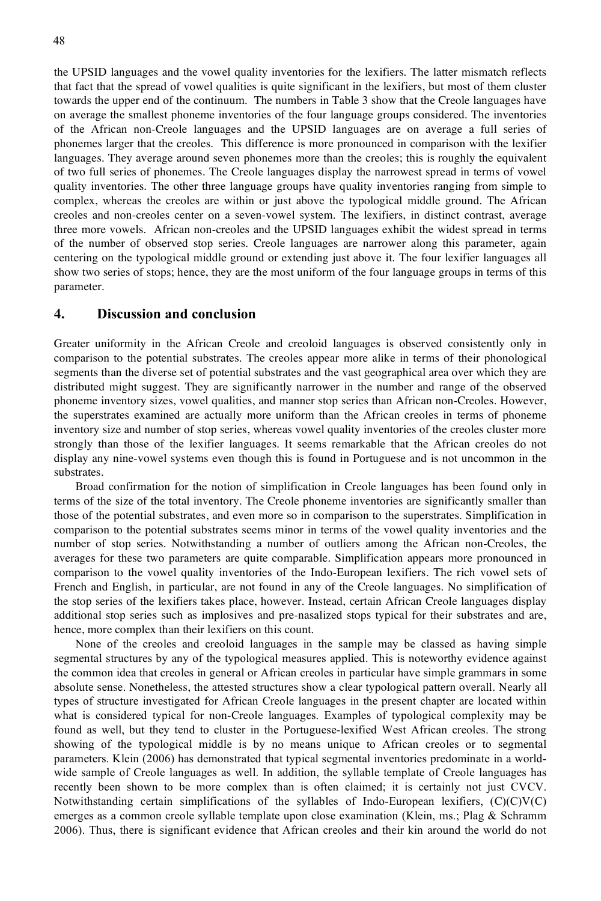the UPSID languages and the vowel quality inventories for the lexifiers. The latter mismatch reflects that fact that the spread of vowel qualities is quite significant in the lexifiers, but most of them cluster towards the upper end of the continuum. The numbers in Table 3 show that the Creole languages have on average the smallest phoneme inventories of the four language groups considered. The inventories of the African non-Creole languages and the UPSID languages are on average a full series of phonemes larger that the creoles. This difference is more pronounced in comparison with the lexifier languages. They average around seven phonemes more than the creoles; this is roughly the equivalent of two full series of phonemes. The Creole languages display the narrowest spread in terms of vowel quality inventories. The other three language groups have quality inventories ranging from simple to complex, whereas the creoles are within or just above the typological middle ground. The African creoles and non-creoles center on a seven-vowel system. The lexifiers, in distinct contrast, average three more vowels. African non-creoles and the UPSID languages exhibit the widest spread in terms of the number of observed stop series. Creole languages are narrower along this parameter, again centering on the typological middle ground or extending just above it. The four lexifier languages all show two series of stops; hence, they are the most uniform of the four language groups in terms of this parameter.

#### **4. Discussion and conclusion**

Greater uniformity in the African Creole and creoloid languages is observed consistently only in comparison to the potential substrates. The creoles appear more alike in terms of their phonological segments than the diverse set of potential substrates and the vast geographical area over which they are distributed might suggest. They are significantly narrower in the number and range of the observed phoneme inventory sizes, vowel qualities, and manner stop series than African non-Creoles. However, the superstrates examined are actually more uniform than the African creoles in terms of phoneme inventory size and number of stop series, whereas vowel quality inventories of the creoles cluster more strongly than those of the lexifier languages. It seems remarkable that the African creoles do not display any nine-vowel systems even though this is found in Portuguese and is not uncommon in the substrates.

Broad confirmation for the notion of simplification in Creole languages has been found only in terms of the size of the total inventory. The Creole phoneme inventories are significantly smaller than those of the potential substrates, and even more so in comparison to the superstrates. Simplification in comparison to the potential substrates seems minor in terms of the vowel quality inventories and the number of stop series. Notwithstanding a number of outliers among the African non-Creoles, the averages for these two parameters are quite comparable. Simplification appears more pronounced in comparison to the vowel quality inventories of the Indo-European lexifiers. The rich vowel sets of French and English, in particular, are not found in any of the Creole languages. No simplification of the stop series of the lexifiers takes place, however. Instead, certain African Creole languages display additional stop series such as implosives and pre-nasalized stops typical for their substrates and are, hence, more complex than their lexifiers on this count.

None of the creoles and creoloid languages in the sample may be classed as having simple segmental structures by any of the typological measures applied. This is noteworthy evidence against the common idea that creoles in general or African creoles in particular have simple grammars in some absolute sense. Nonetheless, the attested structures show a clear typological pattern overall. Nearly all types of structure investigated for African Creole languages in the present chapter are located within what is considered typical for non-Creole languages. Examples of typological complexity may be found as well, but they tend to cluster in the Portuguese-lexified West African creoles. The strong showing of the typological middle is by no means unique to African creoles or to segmental parameters. Klein (2006) has demonstrated that typical segmental inventories predominate in a worldwide sample of Creole languages as well. In addition, the syllable template of Creole languages has recently been shown to be more complex than is often claimed; it is certainly not just CVCV. Notwithstanding certain simplifications of the syllables of Indo-European lexifiers,  $(C)(C)(C)$ emerges as a common creole syllable template upon close examination (Klein, ms.; Plag & Schramm 2006). Thus, there is significant evidence that African creoles and their kin around the world do not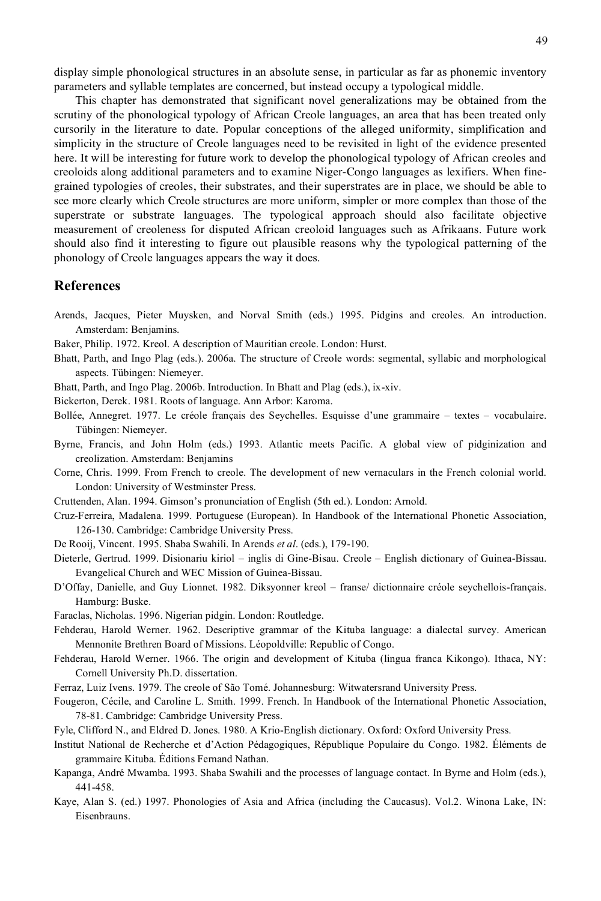display simple phonological structures in an absolute sense, in particular as far as phonemic inventory parameters and syllable templates are concerned, but instead occupy a typological middle.

This chapter has demonstrated that significant novel generalizations may be obtained from the scrutiny of the phonological typology of African Creole languages, an area that has been treated only cursorily in the literature to date. Popular conceptions of the alleged uniformity, simplification and simplicity in the structure of Creole languages need to be revisited in light of the evidence presented here. It will be interesting for future work to develop the phonological typology of African creoles and creoloids along additional parameters and to examine Niger-Congo languages as lexifiers. When finegrained typologies of creoles, their substrates, and their superstrates are in place, we should be able to see more clearly which Creole structures are more uniform, simpler or more complex than those of the superstrate or substrate languages. The typological approach should also facilitate objective measurement of creoleness for disputed African creoloid languages such as Afrikaans. Future work should also find it interesting to figure out plausible reasons why the typological patterning of the phonology of Creole languages appears the way it does.

#### **References**

- Arends, Jacques, Pieter Muysken, and Norval Smith (eds.) 1995. Pidgins and creoles. An introduction. Amsterdam: Benjamins.
- Baker, Philip. 1972. Kreol. A description of Mauritian creole. London: Hurst.
- Bhatt, Parth, and Ingo Plag (eds.). 2006a. The structure of Creole words: segmental, syllabic and morphological aspects. Tübingen: Niemeyer.
- Bhatt, Parth, and Ingo Plag. 2006b. Introduction. In Bhatt and Plag (eds.), ix-xiv.
- Bickerton, Derek. 1981. Roots of language. Ann Arbor: Karoma.
- Bollée, Annegret. 1977. Le créole français des Seychelles. Esquisse d'une grammaire textes vocabulaire. Tübingen: Niemeyer.
- Byrne, Francis, and John Holm (eds.) 1993. Atlantic meets Pacific. A global view of pidginization and creolization. Amsterdam: Benjamins
- Corne, Chris. 1999. From French to creole. The development of new vernaculars in the French colonial world. London: University of Westminster Press.
- Cruttenden, Alan. 1994. Gimson's pronunciation of English (5th ed.). London: Arnold.
- Cruz-Ferreira, Madalena. 1999. Portuguese (European). In Handbook of the International Phonetic Association, 126-130. Cambridge: Cambridge University Press.
- De Rooij, Vincent. 1995. Shaba Swahili. In Arends *et al*. (eds.), 179-190.
- Dieterle, Gertrud. 1999. Disionariu kiriol inglis di Gine-Bisau. Creole English dictionary of Guinea-Bissau. Evangelical Church and WEC Mission of Guinea-Bissau.
- D'Offay, Danielle, and Guy Lionnet. 1982. Diksyonner kreol franse/ dictionnaire créole seychellois-français. Hamburg: Buske.
- Faraclas, Nicholas. 1996. Nigerian pidgin. London: Routledge.
- Fehderau, Harold Werner. 1962. Descriptive grammar of the Kituba language: a dialectal survey. American Mennonite Brethren Board of Missions. Léopoldville: Republic of Congo.
- Fehderau, Harold Werner. 1966. The origin and development of Kituba (lingua franca Kikongo). Ithaca, NY: Cornell University Ph.D. dissertation.
- Ferraz, Luiz Ivens. 1979. The creole of São Tomé. Johannesburg: Witwatersrand University Press.
- Fougeron, Cécile, and Caroline L. Smith. 1999. French. In Handbook of the International Phonetic Association, 78-81. Cambridge: Cambridge University Press.
- Fyle, Clifford N., and Eldred D. Jones. 1980. A Krio-English dictionary. Oxford: Oxford University Press.
- Institut National de Recherche et d'Action Pédagogiques, République Populaire du Congo. 1982. Éléments de grammaire Kituba. Éditions Fernand Nathan.
- Kapanga, André Mwamba. 1993. Shaba Swahili and the processes of language contact. In Byrne and Holm (eds.), 441-458.
- Kaye, Alan S. (ed.) 1997. Phonologies of Asia and Africa (including the Caucasus). Vol.2. Winona Lake, IN: Eisenbrauns.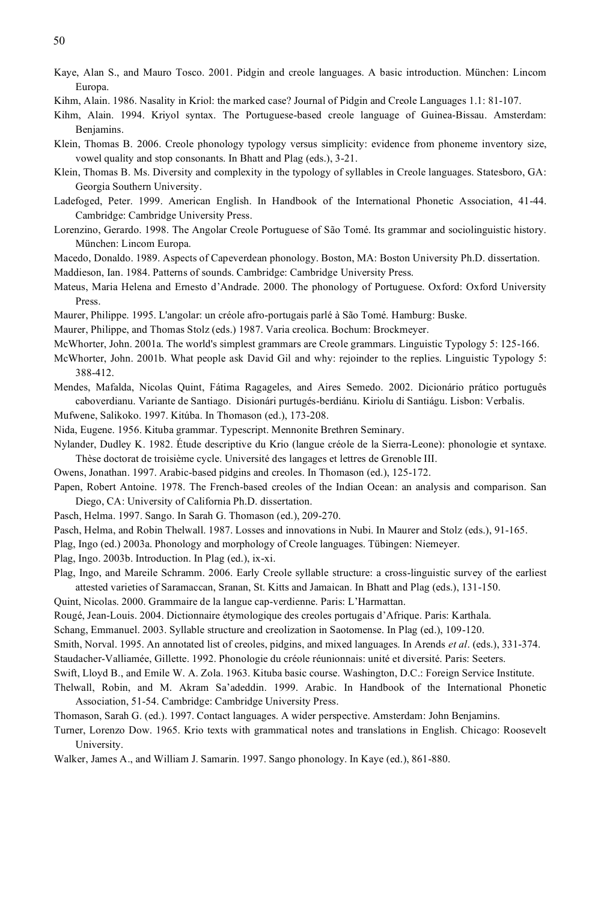- Kaye, Alan S., and Mauro Tosco. 2001. Pidgin and creole languages. A basic introduction. München: Lincom Europa.
- Kihm, Alain. 1986. Nasality in Kriol: the marked case? Journal of Pidgin and Creole Languages 1.1: 81-107.
- Kihm, Alain. 1994. Kriyol syntax. The Portuguese-based creole language of Guinea-Bissau. Amsterdam: Benjamins.
- Klein, Thomas B. 2006. Creole phonology typology versus simplicity: evidence from phoneme inventory size, vowel quality and stop consonants. In Bhatt and Plag (eds.), 3-21.
- Klein, Thomas B. Ms. Diversity and complexity in the typology of syllables in Creole languages. Statesboro, GA: Georgia Southern University.
- Ladefoged, Peter. 1999. American English. In Handbook of the International Phonetic Association, 41-44. Cambridge: Cambridge University Press.
- Lorenzino, Gerardo. 1998. The Angolar Creole Portuguese of São Tomé. Its grammar and sociolinguistic history. München: Lincom Europa.
- Macedo, Donaldo. 1989. Aspects of Capeverdean phonology. Boston, MA: Boston University Ph.D. dissertation. Maddieson, Ian. 1984. Patterns of sounds. Cambridge: Cambridge University Press.
- Mateus, Maria Helena and Ernesto d'Andrade. 2000. The phonology of Portuguese. Oxford: Oxford University Press.
- Maurer, Philippe. 1995. L'angolar: un créole afro-portugais parlé à São Tomé. Hamburg: Buske.
- Maurer, Philippe, and Thomas Stolz (eds.) 1987. Varia creolica. Bochum: Brockmeyer.
- McWhorter, John. 2001a. The world's simplest grammars are Creole grammars. Linguistic Typology 5: 125-166.
- McWhorter, John. 2001b. What people ask David Gil and why: rejoinder to the replies. Linguistic Typology 5: 388-412.
- Mendes, Mafalda, Nicolas Quint, Fátima Ragageles, and Aires Semedo. 2002. Dicionário prático português caboverdianu. Variante de Santiago. Disionári purtugés-berdiánu. Kiriolu di Santiágu. Lisbon: Verbalis.
- Mufwene, Salikoko. 1997. Kitúba. In Thomason (ed.), 173-208.
- Nida, Eugene. 1956. Kituba grammar. Typescript. Mennonite Brethren Seminary.
- Nylander, Dudley K. 1982. Étude descriptive du Krio (langue créole de la Sierra-Leone): phonologie et syntaxe. Thèse doctorat de troisième cycle. Université des langages et lettres de Grenoble III.
- Owens, Jonathan. 1997. Arabic-based pidgins and creoles. In Thomason (ed.), 125-172.
- Papen, Robert Antoine. 1978. The French-based creoles of the Indian Ocean: an analysis and comparison. San Diego, CA: University of California Ph.D. dissertation.
- Pasch, Helma. 1997. Sango. In Sarah G. Thomason (ed.), 209-270.
- Pasch, Helma, and Robin Thelwall. 1987. Losses and innovations in Nubi. In Maurer and Stolz (eds.), 91-165.
- Plag, Ingo (ed.) 2003a. Phonology and morphology of Creole languages. Tübingen: Niemeyer.
- Plag, Ingo. 2003b. Introduction. In Plag (ed.), ix-xi.
- Plag, Ingo, and Mareile Schramm. 2006. Early Creole syllable structure: a cross-linguistic survey of the earliest attested varieties of Saramaccan, Sranan, St. Kitts and Jamaican. In Bhatt and Plag (eds.), 131-150.
- Quint, Nicolas. 2000. Grammaire de la langue cap-verdienne. Paris: L'Harmattan.
- Rougé, Jean-Louis. 2004. Dictionnaire étymologique des creoles portugais d'Afrique. Paris: Karthala.
- Schang, Emmanuel. 2003. Syllable structure and creolization in Saotomense. In Plag (ed.), 109-120.

Smith, Norval. 1995. An annotated list of creoles, pidgins, and mixed languages. In Arends *et al*. (eds.), 331-374.

- Staudacher-Valliamée, Gillette. 1992. Phonologie du créole réunionnais: unité et diversité. Paris: Seeters.
- Swift, Lloyd B., and Emile W. A. Zola. 1963. Kituba basic course. Washington, D.C.: Foreign Service Institute.
- Thelwall, Robin, and M. Akram Sa'adeddin. 1999. Arabic. In Handbook of the International Phonetic Association, 51-54. Cambridge: Cambridge University Press.
- Thomason, Sarah G. (ed.). 1997. Contact languages. A wider perspective. Amsterdam: John Benjamins.
- Turner, Lorenzo Dow. 1965. Krio texts with grammatical notes and translations in English. Chicago: Roosevelt University.
- Walker, James A., and William J. Samarin. 1997. Sango phonology. In Kaye (ed.), 861-880.